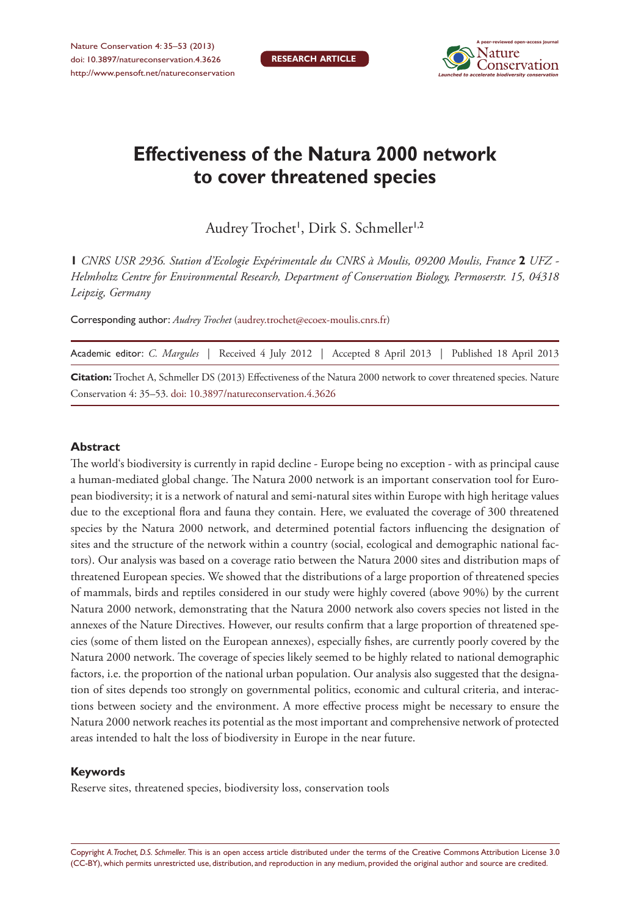

# **Effectiveness of the Natura 2000 network to cover threatened species**

Audrey Trochet', Dirk S. Schmeller'<sup>,2</sup>

**1** *CNRS USR 2936. Station d'Ecologie Expérimentale du CNRS à Moulis, 09200 Moulis, France* **2** *UFZ - Helmholtz Centre for Environmental Research, Department of Conservation Biology, Permoserstr. 15, 04318 Leipzig, Germany*

Corresponding author: *Audrey Trochet* ([audrey.trochet@ecoex-moulis.cnrs.fr](mailto:audrey.trochet@ecoex-moulis.cnrs.fr))

|                                                                                                                              | Academic editor: C. Margules   Received 4 July 2012   Accepted 8 April 2013   Published 18 April 2013 |  |  |  |  |  |  |  |  |
|------------------------------------------------------------------------------------------------------------------------------|-------------------------------------------------------------------------------------------------------|--|--|--|--|--|--|--|--|
| <b>Citation:</b> Trochet A, Schmeller DS (2013) Effectiveness of the Natura 2000 network to cover threatened species. Nature |                                                                                                       |  |  |  |  |  |  |  |  |
|                                                                                                                              | Conservation 4: 35–53, doi: 10.3897/natureconservation.4.3626                                         |  |  |  |  |  |  |  |  |

#### **Abstract**

The world's biodiversity is currently in rapid decline - Europe being no exception - with as principal cause a human-mediated global change. The Natura 2000 network is an important conservation tool for European biodiversity; it is a network of natural and semi-natural sites within Europe with high heritage values due to the exceptional flora and fauna they contain. Here, we evaluated the coverage of 300 threatened species by the Natura 2000 network, and determined potential factors influencing the designation of sites and the structure of the network within a country (social, ecological and demographic national factors). Our analysis was based on a coverage ratio between the Natura 2000 sites and distribution maps of threatened European species. We showed that the distributions of a large proportion of threatened species of mammals, birds and reptiles considered in our study were highly covered (above 90%) by the current Natura 2000 network, demonstrating that the Natura 2000 network also covers species not listed in the annexes of the Nature Directives. However, our results confirm that a large proportion of threatened species (some of them listed on the European annexes), especially fishes, are currently poorly covered by the Natura 2000 network. The coverage of species likely seemed to be highly related to national demographic factors, i.e. the proportion of the national urban population. Our analysis also suggested that the designation of sites depends too strongly on governmental politics, economic and cultural criteria, and interactions between society and the environment. A more effective process might be necessary to ensure the Natura 2000 network reaches its potential as the most important and comprehensive network of protected areas intended to halt the loss of biodiversity in Europe in the near future.

#### **Keywords**

Reserve sites, threatened species, biodiversity loss, conservation tools

Copyright *A. Trochet, D.S. Schmeller.* This is an open access article distributed under the terms of the [Creative Commons Attribution License 3.0](http://creativecommons.org/licenses/by/3.0/)  [\(CC-BY\),](http://creativecommons.org/licenses/by/3.0/) which permits unrestricted use, distribution, and reproduction in any medium, provided the original author and source are credited.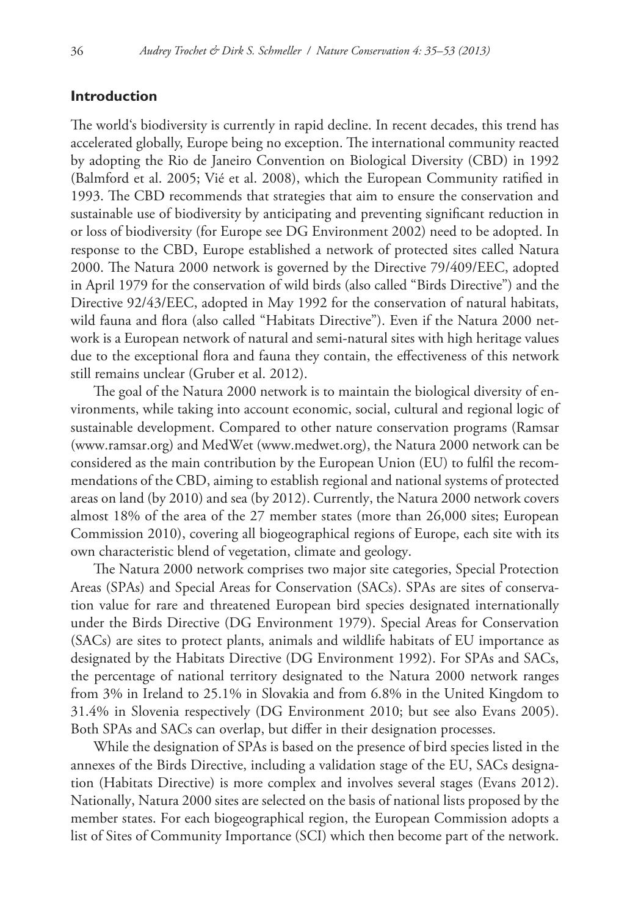## **Introduction**

The world's biodiversity is currently in rapid decline. In recent decades, this trend has accelerated globally, Europe being no exception. The international community reacted by adopting the Rio de Janeiro Convention on Biological Diversity (CBD) in 1992 (Balmford et al. 2005; Vié et al. 2008), which the European Community ratified in 1993. The CBD recommends that strategies that aim to ensure the conservation and sustainable use of biodiversity by anticipating and preventing significant reduction in or loss of biodiversity (for Europe see DG Environment 2002) need to be adopted. In response to the CBD, Europe established a network of protected sites called Natura 2000. The Natura 2000 network is governed by the Directive 79/409/EEC, adopted in April 1979 for the conservation of wild birds (also called "Birds Directive") and the Directive 92/43/EEC, adopted in May 1992 for the conservation of natural habitats, wild fauna and flora (also called "Habitats Directive"). Even if the Natura 2000 network is a European network of natural and semi-natural sites with high heritage values due to the exceptional flora and fauna they contain, the effectiveness of this network still remains unclear (Gruber et al. 2012).

The goal of the Natura 2000 network is to maintain the biological diversity of environments, while taking into account economic, social, cultural and regional logic of sustainable development. Compared to other nature conservation programs (Ramsar ([www.ramsar.org\)](www.ramsar.org) and MedWet [\(www.medwet.org\)](www.medwet.org), the Natura 2000 network can be considered as the main contribution by the European Union (EU) to fulfil the recommendations of the CBD, aiming to establish regional and national systems of protected areas on land (by 2010) and sea (by 2012). Currently, the Natura 2000 network covers almost 18% of the area of the 27 member states (more than 26,000 sites; European Commission 2010), covering all biogeographical regions of Europe, each site with its own characteristic blend of vegetation, climate and geology.

The Natura 2000 network comprises two major site categories, Special Protection Areas (SPAs) and Special Areas for Conservation (SACs). SPAs are sites of conservation value for rare and threatened European bird species designated internationally under the Birds Directive (DG Environment 1979). Special Areas for Conservation (SACs) are sites to protect plants, animals and wildlife habitats of EU importance as designated by the Habitats Directive (DG Environment 1992). For SPAs and SACs, the percentage of national territory designated to the Natura 2000 network ranges from 3% in Ireland to 25.1% in Slovakia and from 6.8% in the United Kingdom to 31.4% in Slovenia respectively (DG Environment 2010; but see also Evans 2005). Both SPAs and SACs can overlap, but differ in their designation processes.

While the designation of SPAs is based on the presence of bird species listed in the annexes of the Birds Directive, including a validation stage of the EU, SACs designation (Habitats Directive) is more complex and involves several stages (Evans 2012). Nationally, Natura 2000 sites are selected on the basis of national lists proposed by the member states. For each biogeographical region, the European Commission adopts a list of Sites of Community Importance (SCI) which then become part of the network.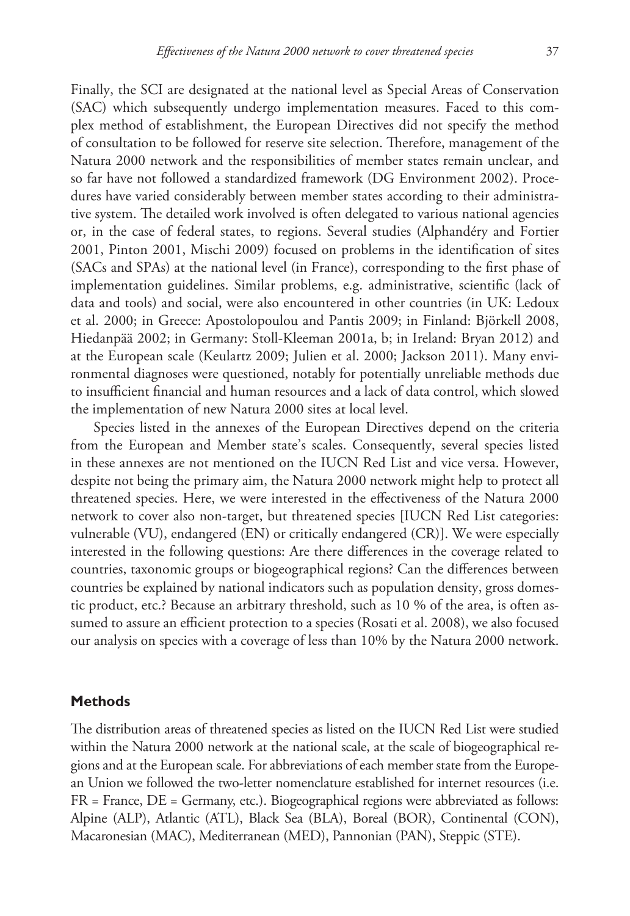Finally, the SCI are designated at the national level as Special Areas of Conservation (SAC) which subsequently undergo implementation measures. Faced to this complex method of establishment, the European Directives did not specify the method of consultation to be followed for reserve site selection. Therefore, management of the Natura 2000 network and the responsibilities of member states remain unclear, and so far have not followed a standardized framework (DG Environment 2002). Procedures have varied considerably between member states according to their administrative system. The detailed work involved is often delegated to various national agencies or, in the case of federal states, to regions. Several studies (Alphandéry and Fortier 2001, Pinton 2001, Mischi 2009) focused on problems in the identification of sites (SACs and SPAs) at the national level (in France), corresponding to the first phase of implementation guidelines. Similar problems, e.g. administrative, scientific (lack of data and tools) and social, were also encountered in other countries (in UK: Ledoux et al. 2000; in Greece: Apostolopoulou and Pantis 2009; in Finland: Björkell 2008, Hiedanpää 2002; in Germany: Stoll-Kleeman 2001a, b; in Ireland: Bryan 2012) and at the European scale (Keulartz 2009; Julien et al. 2000; Jackson 2011). Many environmental diagnoses were questioned, notably for potentially unreliable methods due to insufficient financial and human resources and a lack of data control, which slowed the implementation of new Natura 2000 sites at local level.

Species listed in the annexes of the European Directives depend on the criteria from the European and Member state's scales. Consequently, several species listed in these annexes are not mentioned on the IUCN Red List and vice versa. However, despite not being the primary aim, the Natura 2000 network might help to protect all threatened species. Here, we were interested in the effectiveness of the Natura 2000 network to cover also non-target, but threatened species [IUCN Red List categories: vulnerable (VU), endangered (EN) or critically endangered (CR)]. We were especially interested in the following questions: Are there differences in the coverage related to countries, taxonomic groups or biogeographical regions? Can the differences between countries be explained by national indicators such as population density, gross domestic product, etc.? Because an arbitrary threshold, such as 10 % of the area, is often assumed to assure an efficient protection to a species (Rosati et al. 2008), we also focused our analysis on species with a coverage of less than 10% by the Natura 2000 network.

#### **Methods**

The distribution areas of threatened species as listed on the IUCN Red List were studied within the Natura 2000 network at the national scale, at the scale of biogeographical regions and at the European scale. For abbreviations of each member state from the European Union we followed the two-letter nomenclature established for internet resources (i.e. FR = France, DE = Germany, etc.). Biogeographical regions were abbreviated as follows: Alpine (ALP), Atlantic (ATL), Black Sea (BLA), Boreal (BOR), Continental (CON), Macaronesian (MAC), Mediterranean (MED), Pannonian (PAN), Steppic (STE).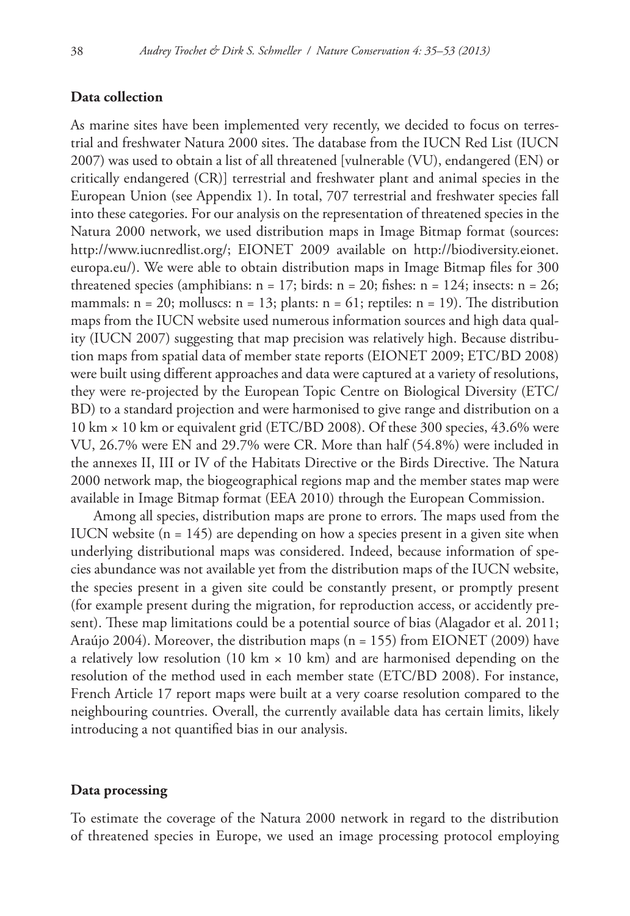## **Data collection**

As marine sites have been implemented very recently, we decided to focus on terrestrial and freshwater Natura 2000 sites. The database from the IUCN Red List (IUCN 2007) was used to obtain a list of all threatened [vulnerable (VU), endangered (EN) or critically endangered (CR)] terrestrial and freshwater plant and animal species in the European Union (see Appendix 1). In total, 707 terrestrial and freshwater species fall into these categories. For our analysis on the representation of threatened species in the Natura 2000 network, we used distribution maps in Image Bitmap format (sources: <http://www.iucnredlist.org>/; EIONET 2009 available on [http://biodiversity.eionet.](http://biodiversity.eionet.europa.eu) [europa.eu](http://biodiversity.eionet.europa.eu)/). We were able to obtain distribution maps in Image Bitmap files for 300 threatened species (amphibians:  $n = 17$ ; birds:  $n = 20$ ; fishes:  $n = 124$ ; insects:  $n = 26$ ; mammals:  $n = 20$ ; molluscs:  $n = 13$ ; plants:  $n = 61$ ; reptiles:  $n = 19$ ). The distribution maps from the IUCN website used numerous information sources and high data quality (IUCN 2007) suggesting that map precision was relatively high. Because distribution maps from spatial data of member state reports (EIONET 2009; ETC/BD 2008) were built using different approaches and data were captured at a variety of resolutions, they were re-projected by the European Topic Centre on Biological Diversity (ETC/ BD) to a standard projection and were harmonised to give range and distribution on a 10 km × 10 km or equivalent grid (ETC/BD 2008). Of these 300 species, 43.6% were VU, 26.7% were EN and 29.7% were CR. More than half (54.8%) were included in the annexes II, III or IV of the Habitats Directive or the Birds Directive. The Natura 2000 network map, the biogeographical regions map and the member states map were available in Image Bitmap format (EEA 2010) through the European Commission.

Among all species, distribution maps are prone to errors. The maps used from the IUCN website  $(n = 145)$  are depending on how a species present in a given site when underlying distributional maps was considered. Indeed, because information of species abundance was not available yet from the distribution maps of the IUCN website, the species present in a given site could be constantly present, or promptly present (for example present during the migration, for reproduction access, or accidently present). These map limitations could be a potential source of bias (Alagador et al. 2011; Araújo 2004). Moreover, the distribution maps (n = 155) from EIONET (2009) have a relatively low resolution (10 km  $\times$  10 km) and are harmonised depending on the resolution of the method used in each member state (ETC/BD 2008). For instance, French Article 17 report maps were built at a very coarse resolution compared to the neighbouring countries. Overall, the currently available data has certain limits, likely introducing a not quantified bias in our analysis.

#### **Data processing**

To estimate the coverage of the Natura 2000 network in regard to the distribution of threatened species in Europe, we used an image processing protocol employing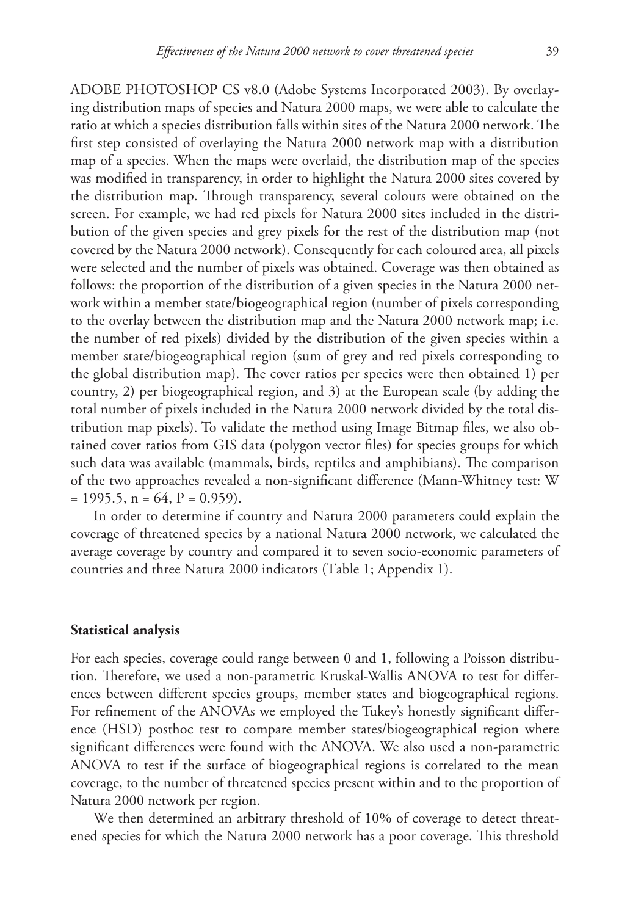ADOBE PHOTOSHOP CS v8.0 (Adobe Systems Incorporated 2003). By overlaying distribution maps of species and Natura 2000 maps, we were able to calculate the ratio at which a species distribution falls within sites of the Natura 2000 network. The first step consisted of overlaying the Natura 2000 network map with a distribution map of a species. When the maps were overlaid, the distribution map of the species was modified in transparency, in order to highlight the Natura 2000 sites covered by the distribution map. Through transparency, several colours were obtained on the screen. For example, we had red pixels for Natura 2000 sites included in the distribution of the given species and grey pixels for the rest of the distribution map (not covered by the Natura 2000 network). Consequently for each coloured area, all pixels were selected and the number of pixels was obtained. Coverage was then obtained as follows: the proportion of the distribution of a given species in the Natura 2000 network within a member state/biogeographical region (number of pixels corresponding to the overlay between the distribution map and the Natura 2000 network map; i.e. the number of red pixels) divided by the distribution of the given species within a member state/biogeographical region (sum of grey and red pixels corresponding to the global distribution map). The cover ratios per species were then obtained 1) per country, 2) per biogeographical region, and 3) at the European scale (by adding the total number of pixels included in the Natura 2000 network divided by the total distribution map pixels). To validate the method using Image Bitmap files, we also obtained cover ratios from GIS data (polygon vector files) for species groups for which such data was available (mammals, birds, reptiles and amphibians). The comparison of the two approaches revealed a non-significant difference (Mann-Whitney test: W  $= 1995.5$ ,  $n = 64$ ,  $P = 0.959$ ).

In order to determine if country and Natura 2000 parameters could explain the coverage of threatened species by a national Natura 2000 network, we calculated the average coverage by country and compared it to seven socio-economic parameters of countries and three Natura 2000 indicators (Table 1; Appendix 1).

## **Statistical analysis**

For each species, coverage could range between 0 and 1, following a Poisson distribution. Therefore, we used a non-parametric Kruskal-Wallis ANOVA to test for differences between different species groups, member states and biogeographical regions. For refinement of the ANOVAs we employed the Tukey's honestly significant difference (HSD) posthoc test to compare member states/biogeographical region where significant differences were found with the ANOVA. We also used a non-parametric ANOVA to test if the surface of biogeographical regions is correlated to the mean coverage, to the number of threatened species present within and to the proportion of Natura 2000 network per region.

We then determined an arbitrary threshold of 10% of coverage to detect threatened species for which the Natura 2000 network has a poor coverage. This threshold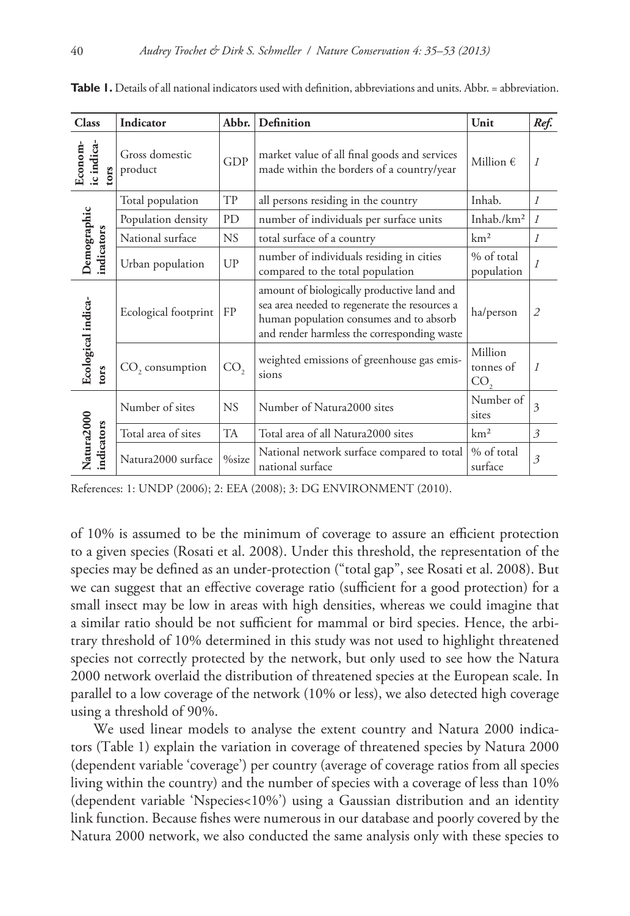| <b>Class</b>                        | Indicator                 | Abbr.           | Definition                                                                                                                                                                            | Unit                        | Ref.           |
|-------------------------------------|---------------------------|-----------------|---------------------------------------------------------------------------------------------------------------------------------------------------------------------------------------|-----------------------------|----------------|
| ic indica-<br>Econom-<br><b>Ors</b> | Gross domestic<br>product | <b>GDP</b>      | market value of all final goods and services<br>made within the borders of a country/year                                                                                             | Million $\epsilon$          | $\overline{I}$ |
| Demographic<br>indicators           | Total population          | TP              | all persons residing in the country                                                                                                                                                   | Inhab.                      | $\mathcal{I}$  |
|                                     | Population density        | PD              | number of individuals per surface units                                                                                                                                               | Inhab./ $km2$               | $\mathcal{I}$  |
|                                     | National surface          | <b>NS</b>       | total surface of a country                                                                                                                                                            | km <sup>2</sup>             | $\mathcal{I}$  |
|                                     | Urban population          | UP              | number of individuals residing in cities<br>compared to the total population                                                                                                          | % of total<br>population    | $\mathcal{I}$  |
| Ecological indica-<br>tors          | Ecological footprint      | FP              | amount of biologically productive land and<br>sea area needed to regenerate the resources a<br>human population consumes and to absorb<br>and render harmless the corresponding waste | ha/person                   | $\overline{2}$ |
|                                     | $CO$ , consumption        | CO <sub>2</sub> | weighted emissions of greenhouse gas emis-<br>sions                                                                                                                                   | Million<br>tonnes of<br>CO, | $\overline{I}$ |
| Natura2000<br>indicators            | Number of sites           | NS.             | Number of Natura2000 sites                                                                                                                                                            | Number of<br>sites          | 3              |
|                                     | Total area of sites       | <b>TA</b>       | Total area of all Natura2000 sites                                                                                                                                                    | km <sup>2</sup>             | 3              |
|                                     | Natura2000 surface        | %size           | National network surface compared to total<br>national surface                                                                                                                        | % of total<br>surface       | 3              |

**Table 1.** Details of all national indicators used with definition, abbreviations and units. Abbr. = abbreviation.

References: 1: UNDP (2006); 2: EEA (2008); 3: DG ENVIRONMENT (2010).

of 10% is assumed to be the minimum of coverage to assure an efficient protection to a given species (Rosati et al. 2008). Under this threshold, the representation of the species may be defined as an under-protection ("total gap", see Rosati et al. 2008). But we can suggest that an effective coverage ratio (sufficient for a good protection) for a small insect may be low in areas with high densities, whereas we could imagine that a similar ratio should be not sufficient for mammal or bird species. Hence, the arbitrary threshold of 10% determined in this study was not used to highlight threatened species not correctly protected by the network, but only used to see how the Natura 2000 network overlaid the distribution of threatened species at the European scale. In parallel to a low coverage of the network (10% or less), we also detected high coverage using a threshold of 90%.

We used linear models to analyse the extent country and Natura 2000 indicators (Table 1) explain the variation in coverage of threatened species by Natura 2000 (dependent variable 'coverage') per country (average of coverage ratios from all species living within the country) and the number of species with a coverage of less than 10% (dependent variable 'Nspecies<10%') using a Gaussian distribution and an identity link function. Because fishes were numerous in our database and poorly covered by the Natura 2000 network, we also conducted the same analysis only with these species to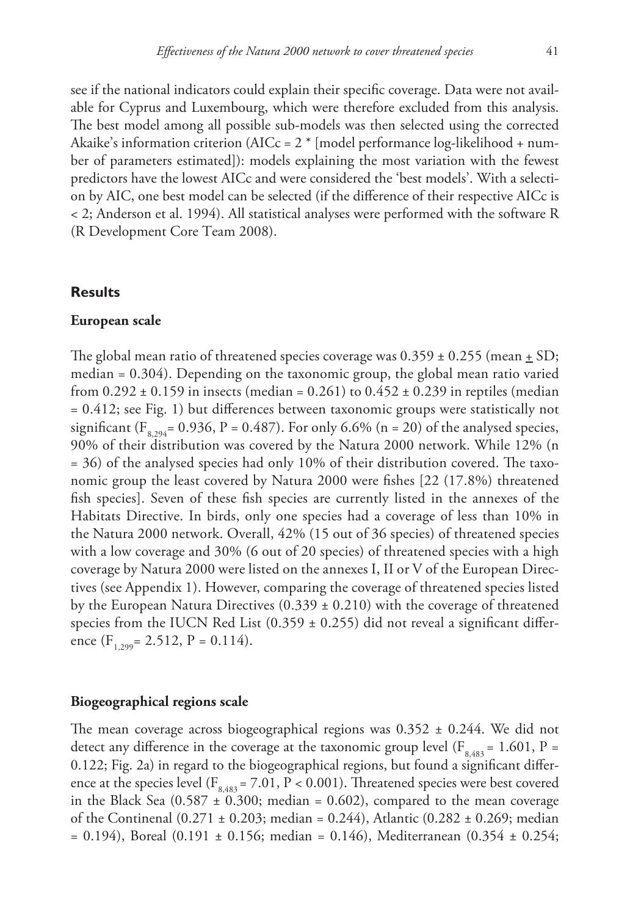see if the national indicators could explain their specific coverage. Data were not available for Cyprus and Luxembourg, which were therefore excluded from this analysis. The best model among all possible sub-models was then selected using the corrected Akaike's information criterion (AICc =  $2 *$  [model performance log-likelihood + number of parameters estimated]): models explaining the most variation with the fewest predictors have the lowest AICc and were considered the 'best models'. With a selection by AIC, one best model can be selected (if the difference of their respective AICc is < 2; Anderson et al. 1994). All statistical analyses were performed with the software R

(R Development Core Team 2008).

## **Results**

#### **European scale**

The global mean ratio of threatened species coverage was  $0.359 \pm 0.255$  (mean  $\pm$  SD; median = 0.304). Depending on the taxonomic group, the global mean ratio varied from  $0.292 \pm 0.159$  in insects (median = 0.261) to  $0.452 \pm 0.239$  in reptiles (median = 0.412; see Fig. 1) but differences between taxonomic groups were statistically not significant ( $F_{8,294}$ = 0.936, P = 0.487). For only 6.6% (n = 20) of the analysed species, 90% of their distribution was covered by the Natura 2000 network. While 12% (n = 36) of the analysed species had only 10% of their distribution covered. The taxonomic group the least covered by Natura 2000 were fishes [22 (17.8%) threatened fish species]. Seven of these fish species are currently listed in the annexes of the Habitats Directive. In birds, only one species had a coverage of less than 10% in the Natura 2000 network. Overall, 42% (15 out of 36 species) of threatened species with a low coverage and 30% (6 out of 20 species) of threatened species with a high coverage by Natura 2000 were listed on the annexes I, II or V of the European Directives (see Appendix 1). However, comparing the coverage of threatened species listed by the European Natura Directives  $(0.339 \pm 0.210)$  with the coverage of threatened species from the IUCN Red List  $(0.359 \pm 0.255)$  did not reveal a significant difference  $(F<sub>1,299</sub> = 2.512, P = 0.114).$ 

#### **Biogeographical regions scale**

The mean coverage across biogeographical regions was  $0.352 \pm 0.244$ . We did not detect any difference in the coverage at the taxonomic group level ( $F_{8,483}$  = 1.601, P = 0.122; Fig. 2a) in regard to the biogeographical regions, but found a significant difference at the species level ( $F_{8,483}$  = 7.01, P < 0.001). Threatened species were best covered in the Black Sea  $(0.587 \pm 0.300)$ ; median = 0.602), compared to the mean coverage of the Continenal  $(0.271 \pm 0.203$ ; median = 0.244), Atlantic  $(0.282 \pm 0.269)$ ; median  $= 0.194$ ), Boreal (0.191  $\pm$  0.156; median  $= 0.146$ ), Mediterranean (0.354  $\pm$  0.254;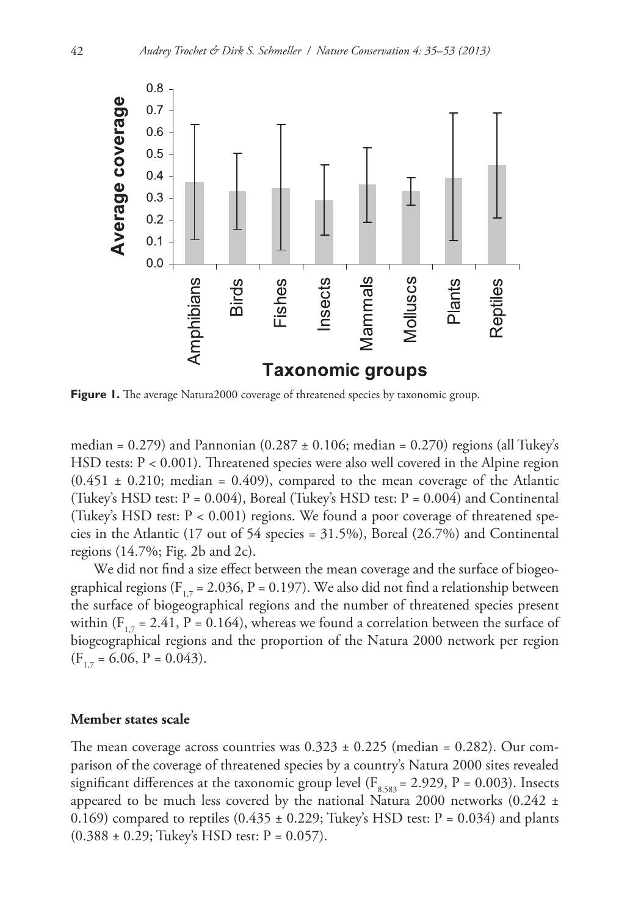

**Figure 1.** The average Natura2000 coverage of threatened species by taxonomic group.

median =  $0.279$ ) and Pannonian  $(0.287 \pm 0.106)$ ; median =  $0.270$ ) regions (all Tukey's HSD tests: P < 0.001). Threatened species were also well covered in the Alpine region  $(0.451 \pm 0.210; \text{ median} = 0.409)$ , compared to the mean coverage of the Atlantic (Tukey's HSD test:  $P = 0.004$ ), Boreal (Tukey's HSD test:  $P = 0.004$ ) and Continental (Tukey's HSD test: P < 0.001) regions. We found a poor coverage of threatened species in the Atlantic (17 out of 54 species =  $31.5\%$ ), Boreal (26.7%) and Continental regions (14.7%; Fig. 2b and 2c).

We did not find a size effect between the mean coverage and the surface of biogeographical regions ( $F_{17}$  = 2.036, P = 0.197). We also did not find a relationship between the surface of biogeographical regions and the number of threatened species present within ( $F_{1,7}$  = 2.41, P = 0.164), whereas we found a correlation between the surface of biogeographical regions and the proportion of the Natura 2000 network per region  $(F_{17} = 6.06, P = 0.043).$ 

#### **Member states scale**

The mean coverage across countries was  $0.323 \pm 0.225$  (median = 0.282). Our comparison of the coverage of threatened species by a country's Natura 2000 sites revealed significant differences at the taxonomic group level ( $F_{8,583}$  = 2.929, P = 0.003). Insects appeared to be much less covered by the national Natura 2000 networks (0.242 ± 0.169) compared to reptiles  $(0.435 \pm 0.229)$ ; Tukey's HSD test: P = 0.034) and plants  $(0.388 \pm 0.29;$  Tukey's HSD test:  $P = 0.057$ ).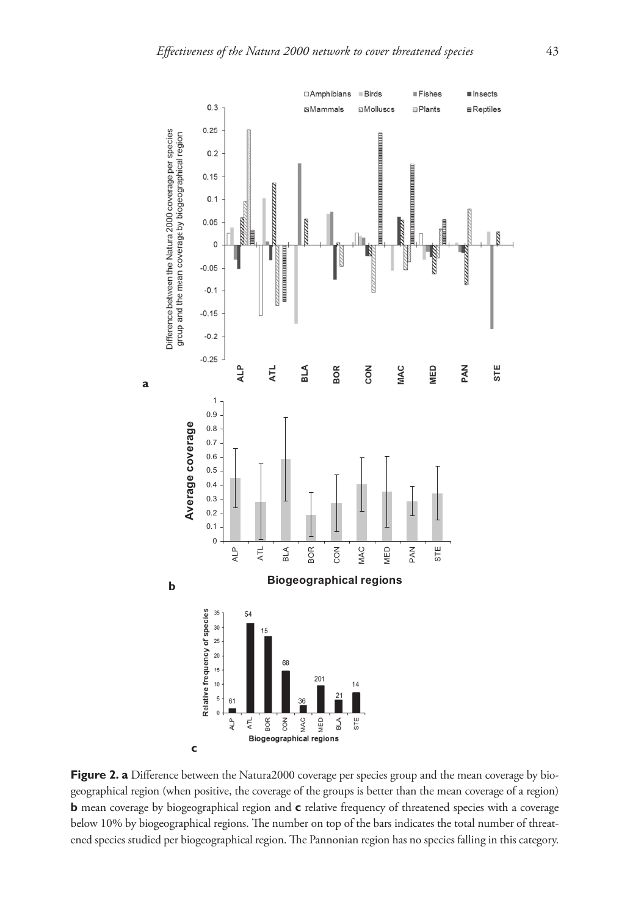

Figure 2. a Difference between the Natura2000 coverage per species group and the mean coverage by biogeographical region (when positive, the coverage of the groups is better than the mean coverage of a region) **b** mean coverage by biogeographical region and **c** relative frequency of threatened species with a coverage below 10% by biogeographical regions. The number on top of the bars indicates the total number of threatened species studied per biogeographical region. The Pannonian region has no species falling in this category.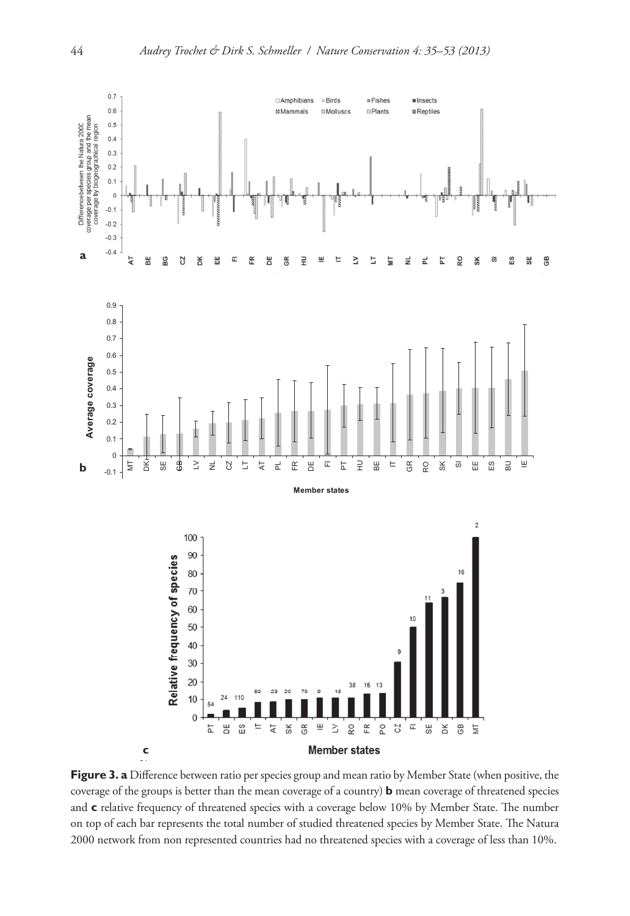

**Figure 3. a** Difference between ratio per species group and mean ratio by Member State (when positive, the coverage of the groups is better than the mean coverage of a country) **b** mean coverage of threatened species and c relative frequency of threatened species with a coverage below 10% by Member State. The number on top of each bar represents the total number of studied threatened species by Member State. The Natura 2000 network from non represented countries had no threatened species with a coverage of less than 10%.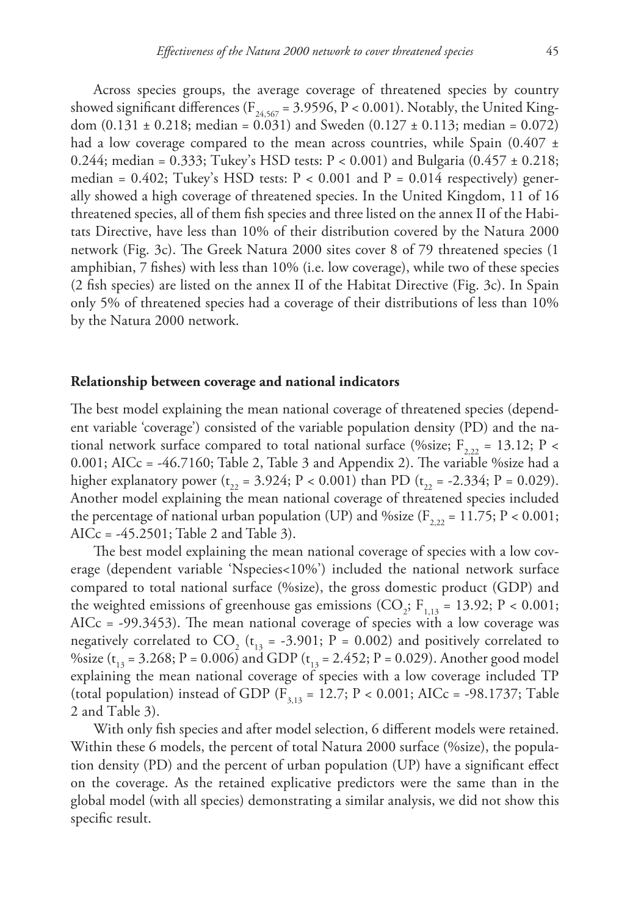Across species groups, the average coverage of threatened species by country showed significant differences ( $F_{24,567} = 3.9596$ ,  $P < 0.001$ ). Notably, the United Kingdom  $(0.131 \pm 0.218)$ ; median = 0.031) and Sweden  $(0.127 \pm 0.113)$ ; median = 0.072) had a low coverage compared to the mean across countries, while Spain (0.407  $\pm$ 0.244; median = 0.333; Tukey's HSD tests:  $P < 0.001$ ) and Bulgaria (0.457  $\pm$  0.218; median =  $0.402$ ; Tukey's HSD tests:  $P < 0.001$  and  $P = 0.014$  respectively) generally showed a high coverage of threatened species. In the United Kingdom, 11 of 16 threatened species, all of them fish species and three listed on the annex II of the Habitats Directive, have less than 10% of their distribution covered by the Natura 2000 network (Fig. 3c). The Greek Natura 2000 sites cover 8 of 79 threatened species (1 amphibian, 7 fishes) with less than 10% (i.e. low coverage), while two of these species (2 fish species) are listed on the annex II of the Habitat Directive (Fig. 3c). In Spain only 5% of threatened species had a coverage of their distributions of less than 10% by the Natura 2000 network.

## **Relationship between coverage and national indicators**

The best model explaining the mean national coverage of threatened species (dependent variable 'coverage') consisted of the variable population density (PD) and the national network surface compared to total national surface (%size; F<sub>222</sub> = 13.12; P < 0.001; AICc = -46.7160; Table 2, Table 3 and Appendix 2). The variable %size had a higher explanatory power ( $t_{22} = 3.924$ ; P < 0.001) than PD ( $t_{22} = -2.334$ ; P = 0.029). Another model explaining the mean national coverage of threatened species included the percentage of national urban population (UP) and % size ( $F_{2,22} = 11.75$ ; P < 0.001; AICc = -45.2501; Table 2 and Table 3).

The best model explaining the mean national coverage of species with a low coverage (dependent variable 'Nspecies<10%') included the national network surface compared to total national surface (%size), the gross domestic product (GDP) and the weighted emissions of greenhouse gas emissions (CO<sub>2</sub>; F<sub>1,13</sub> = 13.92; P < 0.001; AICc = -99.3453). The mean national coverage of species with a low coverage was negatively correlated to CO<sub>2</sub> (t<sub>13</sub> = -3.901; P = 0.002) and positively correlated to %size ( $t_{13}$  = 3.268; P = 0.006) and GDP ( $t_{13}$  = 2.452; P = 0.029). Another good model explaining the mean national coverage of species with a low coverage included TP (total population) instead of GDP ( $F_{3,13} = 12.7$ ; P < 0.001; AICc = -98.1737; Table 2 and Table 3).

With only fish species and after model selection, 6 different models were retained. Within these 6 models, the percent of total Natura 2000 surface (%size), the population density (PD) and the percent of urban population (UP) have a significant effect on the coverage. As the retained explicative predictors were the same than in the global model (with all species) demonstrating a similar analysis, we did not show this specific result.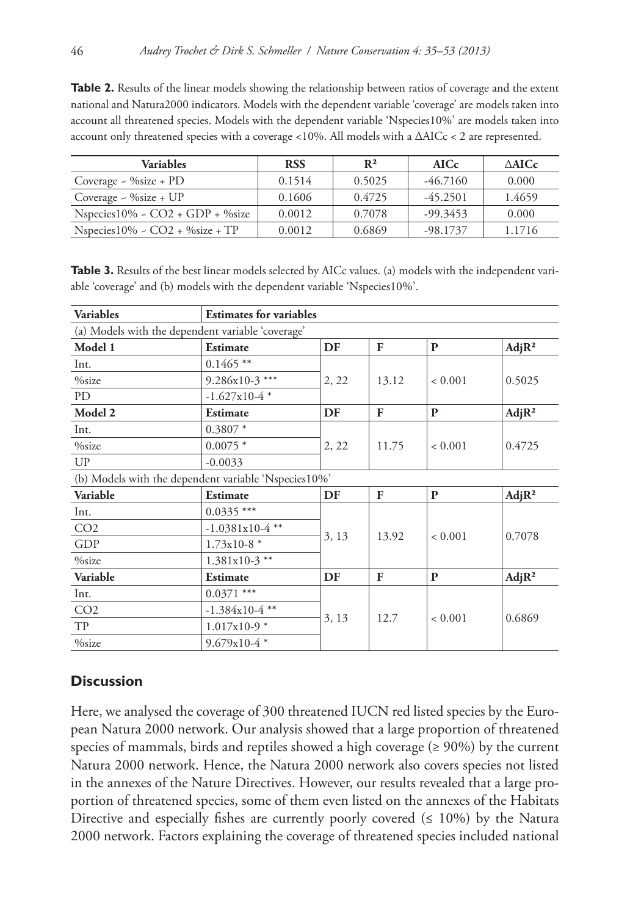**Table 2.** Results of the linear models showing the relationship between ratios of coverage and the extent national and Natura2000 indicators. Models with the dependent variable 'coverage' are models taken into account all threatened species. Models with the dependent variable 'Nspecies10%' are models taken into account only threatened species with a coverage <10%. All models with a ΔAICc < 2 are represented.

| <b>Variables</b>                        | <b>RSS</b> | $\mathbb{R}^2$ |            | $\triangle$ AICc |  |
|-----------------------------------------|------------|----------------|------------|------------------|--|
| Coverage $\sim$ %size + PD              | 0.1514     | 0.5025         | $-46.7160$ | 0.000            |  |
| Coverage $\sim$ %size + UP              | 0.1606     | 0.4725         | $-45.2501$ | 1.4659           |  |
| Nspecies $10\%$ - CO2 + GDP + $\%$ size | 0.0012     | 0.7078         | $-99.3453$ | 0.000            |  |
| Nspecies $10\%$ - CO2 + $\%$ size + TP  | 0.0012     | 0.6869         | $-98.1737$ | 1.1716           |  |

Table 3. Results of the best linear models selected by AICc values. (a) models with the independent variable 'coverage' and (b) models with the dependent variable 'Nspecies10%'.

| <b>Variables</b>                                     | <b>Estimates for variables</b> |       |       |              |                    |  |  |  |
|------------------------------------------------------|--------------------------------|-------|-------|--------------|--------------------|--|--|--|
| (a) Models with the dependent variable 'coverage'    |                                |       |       |              |                    |  |  |  |
| Model 1                                              | <b>Estimate</b>                | DF    | F     | $\mathbf{P}$ | Adj R <sup>2</sup> |  |  |  |
| Int.                                                 | $0.1465$ **                    |       |       |              | 0.5025             |  |  |  |
| %size                                                | $9.286x10-3$ ***               | 2, 22 | 13.12 | < 0.001      |                    |  |  |  |
| PD                                                   | $-1.627x10-4*$                 |       |       |              |                    |  |  |  |
| Model 2                                              | <b>Estimate</b>                | DF    | F     | $\mathbf{P}$ | Adj R <sup>2</sup> |  |  |  |
| Int.                                                 | $0.3807*$                      |       |       |              | 0.4725             |  |  |  |
| $\%$ size                                            | $0.0075*$                      | 2, 22 | 11.75 | < 0.001      |                    |  |  |  |
| UP                                                   | $-0.0033$                      |       |       |              |                    |  |  |  |
| (b) Models with the dependent variable 'Nspecies10%' |                                |       |       |              |                    |  |  |  |
| Variable                                             | <b>Estimate</b>                | DF    | F     | $\mathbf{P}$ | Adj R <sup>2</sup> |  |  |  |
| Int.                                                 | $0.0335***$                    |       | 13.92 | < 0.001      | 0.7078             |  |  |  |
| CO <sub>2</sub>                                      | $-1.0381x10-4$ **              |       |       |              |                    |  |  |  |
| GDP                                                  | $1.73x10-8$ *                  | 3, 13 |       |              |                    |  |  |  |
| %size                                                | $1.381x10-3$ **                |       |       |              |                    |  |  |  |
| Variable                                             | <b>Estimate</b>                | DF    | F     | P            | Adj R <sup>2</sup> |  |  |  |
| Int.                                                 | $0.0371$ ***                   |       |       | < 0.001      | 0.6869             |  |  |  |
| CO <sub>2</sub>                                      | $-1.384x10-4$ **               |       | 12.7  |              |                    |  |  |  |
| TP                                                   | $1.017x10-9$ *                 | 3, 13 |       |              |                    |  |  |  |
| %size                                                | $9.679x10-4*$                  |       |       |              |                    |  |  |  |

## **Discussion**

Here, we analysed the coverage of 300 threatened IUCN red listed species by the European Natura 2000 network. Our analysis showed that a large proportion of threatened species of mammals, birds and reptiles showed a high coverage  $(≥ 90%)$  by the current Natura 2000 network. Hence, the Natura 2000 network also covers species not listed in the annexes of the Nature Directives. However, our results revealed that a large proportion of threatened species, some of them even listed on the annexes of the Habitats Directive and especially fishes are currently poorly covered  $( \leq 10\%)$  by the Natura 2000 network. Factors explaining the coverage of threatened species included national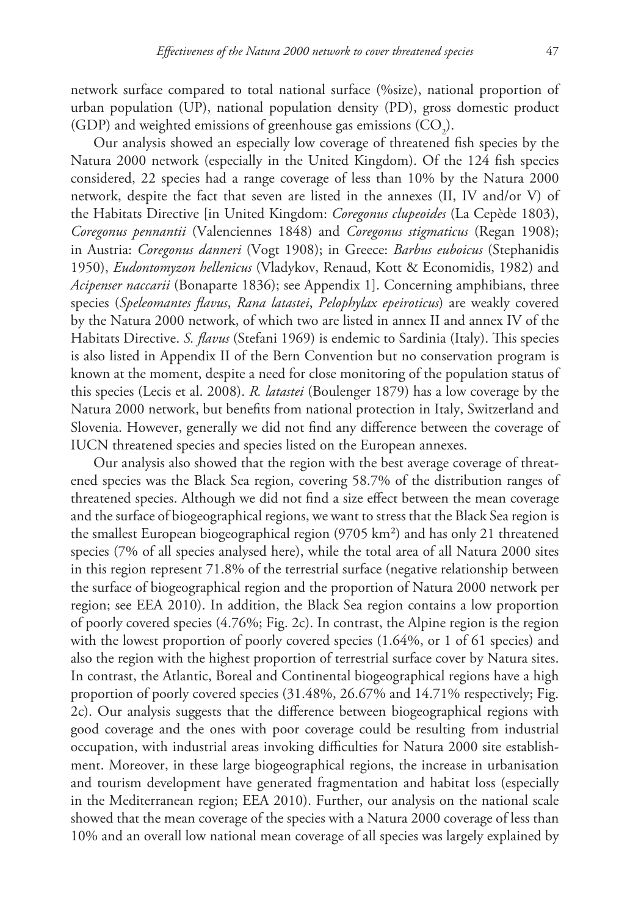network surface compared to total national surface (%size), national proportion of urban population (UP), national population density (PD), gross domestic product (GDP) and weighted emissions of greenhouse gas emissions  $({\rm CO}_2)$ .

Our analysis showed an especially low coverage of threatened fish species by the Natura 2000 network (especially in the United Kingdom). Of the 124 fish species considered, 22 species had a range coverage of less than 10% by the Natura 2000 network, despite the fact that seven are listed in the annexes (II, IV and/or V) of the Habitats Directive [in United Kingdom: *Coregonus clupeoides* (La Cepède 1803), *Coregonus pennantii* (Valenciennes 1848) and *Coregonus stigmaticus* (Regan 1908); in Austria: *Coregonus danneri* (Vogt 1908); in Greece: *Barbus euboicus* (Stephanidis 1950), *Eudontomyzon hellenicus* (Vladykov, Renaud, Kott & Economidis, 1982) and *Acipenser naccarii* (Bonaparte 1836); see Appendix 1]. Concerning amphibians, three species (*Speleomantes flavus*, *Rana latastei*, *Pelophylax epeiroticus*) are weakly covered by the Natura 2000 network, of which two are listed in annex II and annex IV of the Habitats Directive. *S. flavus* (Stefani 1969) is endemic to Sardinia (Italy). This species is also listed in Appendix II of the Bern Convention but no conservation program is known at the moment, despite a need for close monitoring of the population status of this species (Lecis et al. 2008). *R. latastei* (Boulenger 1879) has a low coverage by the Natura 2000 network, but benefits from national protection in Italy, Switzerland and Slovenia. However, generally we did not find any difference between the coverage of IUCN threatened species and species listed on the European annexes.

Our analysis also showed that the region with the best average coverage of threatened species was the Black Sea region, covering 58.7% of the distribution ranges of threatened species. Although we did not find a size effect between the mean coverage and the surface of biogeographical regions, we want to stress that the Black Sea region is the smallest European biogeographical region (9705 km²) and has only 21 threatened species (7% of all species analysed here), while the total area of all Natura 2000 sites in this region represent 71.8% of the terrestrial surface (negative relationship between the surface of biogeographical region and the proportion of Natura 2000 network per region; see EEA 2010). In addition, the Black Sea region contains a low proportion of poorly covered species (4.76%; Fig. 2c). In contrast, the Alpine region is the region with the lowest proportion of poorly covered species (1.64%, or 1 of 61 species) and also the region with the highest proportion of terrestrial surface cover by Natura sites. In contrast, the Atlantic, Boreal and Continental biogeographical regions have a high proportion of poorly covered species (31.48%, 26.67% and 14.71% respectively; Fig. 2c). Our analysis suggests that the difference between biogeographical regions with good coverage and the ones with poor coverage could be resulting from industrial occupation, with industrial areas invoking difficulties for Natura 2000 site establishment. Moreover, in these large biogeographical regions, the increase in urbanisation and tourism development have generated fragmentation and habitat loss (especially in the Mediterranean region; EEA 2010). Further, our analysis on the national scale showed that the mean coverage of the species with a Natura 2000 coverage of less than 10% and an overall low national mean coverage of all species was largely explained by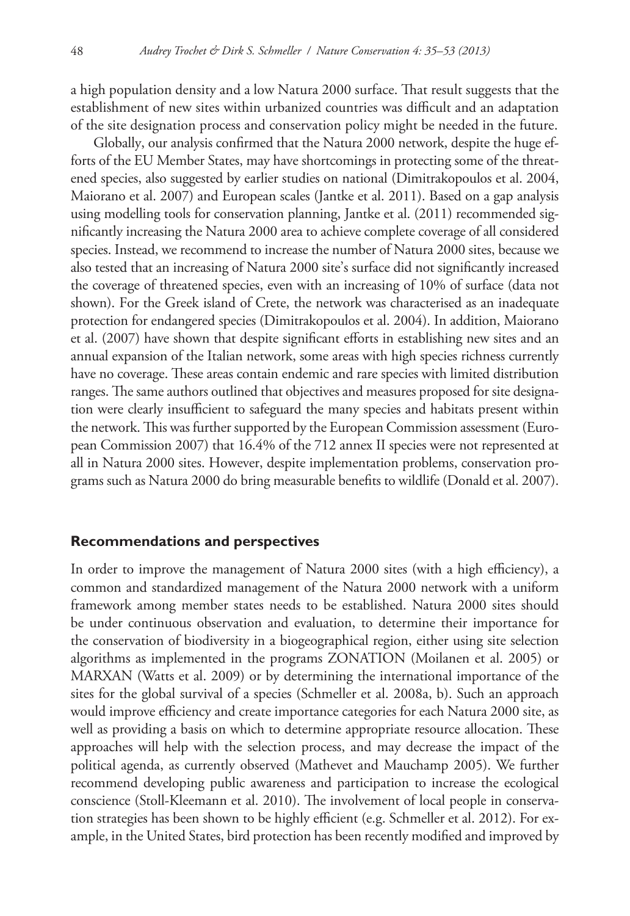a high population density and a low Natura 2000 surface. That result suggests that the establishment of new sites within urbanized countries was difficult and an adaptation of the site designation process and conservation policy might be needed in the future.

Globally, our analysis confirmed that the Natura 2000 network, despite the huge efforts of the EU Member States, may have shortcomings in protecting some of the threatened species, also suggested by earlier studies on national (Dimitrakopoulos et al. 2004, Maiorano et al. 2007) and European scales (Jantke et al. 2011). Based on a gap analysis using modelling tools for conservation planning, Jantke et al. (2011) recommended significantly increasing the Natura 2000 area to achieve complete coverage of all considered species. Instead, we recommend to increase the number of Natura 2000 sites, because we also tested that an increasing of Natura 2000 site's surface did not significantly increased the coverage of threatened species, even with an increasing of 10% of surface (data not shown). For the Greek island of Crete, the network was characterised as an inadequate protection for endangered species (Dimitrakopoulos et al. 2004). In addition, Maiorano et al. (2007) have shown that despite significant efforts in establishing new sites and an annual expansion of the Italian network, some areas with high species richness currently have no coverage. These areas contain endemic and rare species with limited distribution ranges. The same authors outlined that objectives and measures proposed for site designation were clearly insufficient to safeguard the many species and habitats present within the network. This was further supported by the European Commission assessment (European Commission 2007) that 16.4% of the 712 annex II species were not represented at all in Natura 2000 sites. However, despite implementation problems, conservation programs such as Natura 2000 do bring measurable benefits to wildlife (Donald et al. 2007).

#### **Recommendations and perspectives**

In order to improve the management of Natura 2000 sites (with a high efficiency), a common and standardized management of the Natura 2000 network with a uniform framework among member states needs to be established. Natura 2000 sites should be under continuous observation and evaluation, to determine their importance for the conservation of biodiversity in a biogeographical region, either using site selection algorithms as implemented in the programs ZONATION (Moilanen et al. 2005) or MARXAN (Watts et al. 2009) or by determining the international importance of the sites for the global survival of a species (Schmeller et al. 2008a, b). Such an approach would improve efficiency and create importance categories for each Natura 2000 site, as well as providing a basis on which to determine appropriate resource allocation. These approaches will help with the selection process, and may decrease the impact of the political agenda, as currently observed (Mathevet and Mauchamp 2005). We further recommend developing public awareness and participation to increase the ecological conscience (Stoll-Kleemann et al. 2010). The involvement of local people in conservation strategies has been shown to be highly efficient (e.g. Schmeller et al. 2012). For example, in the United States, bird protection has been recently modified and improved by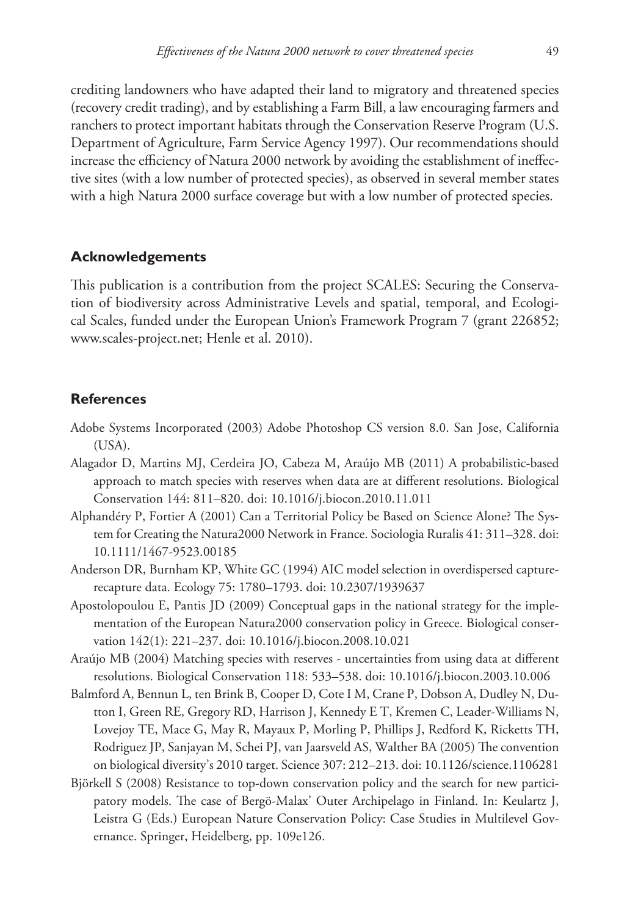crediting landowners who have adapted their land to migratory and threatened species (recovery credit trading), and by establishing a Farm Bill, a law encouraging farmers and ranchers to protect important habitats through the Conservation Reserve Program (U.S. Department of Agriculture, Farm Service Agency 1997). Our recommendations should increase the efficiency of Natura 2000 network by avoiding the establishment of ineffective sites (with a low number of protected species), as observed in several member states with a high Natura 2000 surface coverage but with a low number of protected species.

## **Acknowledgements**

This publication is a contribution from the project SCALES: Securing the Conservation of biodiversity across Administrative Levels and spatial, temporal, and Ecological Scales, funded under the European Union's Framework Program 7 (grant 226852; [www.scales-project.net;](www.scales-project.net) Henle et al. 2010).

## **References**

- Adobe Systems Incorporated (2003) Adobe Photoshop CS version 8.0. San Jose, California (USA).
- Alagador D, Martins MJ, Cerdeira JO, Cabeza M, Araújo MB (2011) A probabilistic-based approach to match species with reserves when data are at different resolutions. Biological Conservation 144: 811–820. [doi: 10.1016/j.biocon.2010.11.011](http://dx.doi.org/10.1016/j.biocon.2010.11.011)
- Alphandéry P, Fortier A (2001) Can a Territorial Policy be Based on Science Alone? The System for Creating the Natura2000 Network in France. Sociologia Ruralis 41: 311–328. [doi:](http://dx.doi.org/10.1111/1467-9523.00185) [10.1111/1467-9523.00185](http://dx.doi.org/10.1111/1467-9523.00185)
- Anderson DR, Burnham KP, White GC (1994) AIC model selection in overdispersed capturerecapture data. Ecology 75: 1780–1793. [doi: 10.2307/1939637](http://dx.doi.org/10.2307/1939637)
- Apostolopoulou E, Pantis JD (2009) Conceptual gaps in the national strategy for the implementation of the European Natura2000 conservation policy in Greece. Biological conservation 142(1): 221–237. [doi: 10.1016/j.biocon.2008.10.021](http://dx.doi.org/10.1016/j.biocon.2008.10.021)
- Araújo MB (2004) Matching species with reserves uncertainties from using data at different resolutions. Biological Conservation 118: 533–538. [doi: 10.1016/j.biocon.2003.10.006](http://dx.doi.org/10.1016/j.biocon.2003.10.006)
- Balmford A, Bennun L, ten Brink B, Cooper D, Cote I M, Crane P, Dobson A, Dudley N, Dutton I, Green RE, Gregory RD, Harrison J, Kennedy E T, Kremen C, Leader-Williams N, Lovejoy TE, Mace G, May R, Mayaux P, Morling P, Phillips J, Redford K, Ricketts TH, Rodriguez JP, Sanjayan M, Schei PJ, van Jaarsveld AS, Walther BA (2005) The convention on biological diversity's 2010 target. Science 307: 212–213. [doi: 10.1126/science.1106281](http://dx.doi.org/10.1126/science.1106281)
- Björkell S (2008) Resistance to top-down conservation policy and the search for new participatory models. The case of Bergö-Malax' Outer Archipelago in Finland. In: Keulartz J, Leistra G (Eds.) European Nature Conservation Policy: Case Studies in Multilevel Governance. Springer, Heidelberg, pp. 109e126.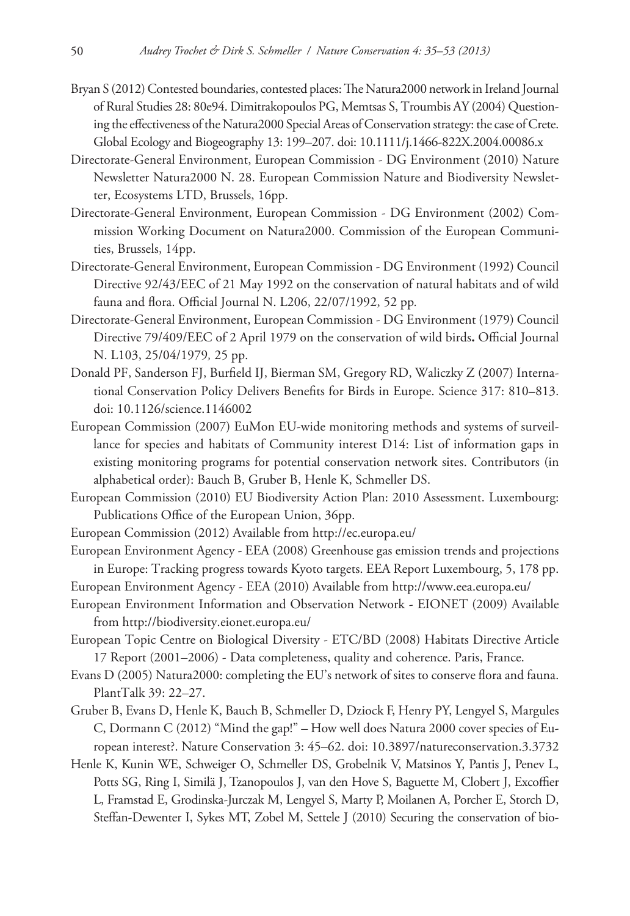- Bryan S (2012) Contested boundaries, contested places: The Natura2000 network in Ireland Journal of Rural Studies 28: 80e94. Dimitrakopoulos PG, Memtsas S, Troumbis AY (2004) Questioning the effectiveness of the Natura2000 Special Areas of Conservation strategy: the case of Crete. Global Ecology and Biogeography 13: 199–207. [doi: 10.1111/j.1466-822X.2004.00086.x](http://dx.doi.org/10.1111/j.1466-822X.2004.00086.x)
- Directorate-General Environment, European Commission DG Environment (2010) Nature Newsletter Natura2000 N. 28. European Commission Nature and Biodiversity Newsletter, Ecosystems LTD, Brussels, 16pp.
- Directorate-General Environment, European Commission DG Environment (2002) Commission Working Document on Natura2000. Commission of the European Communities, Brussels, 14pp.
- Directorate-General Environment, European Commission DG Environment (1992) Council Directive 92/43/EEC of 21 May 1992 on the conservation of natural habitats and of wild fauna and flora. Official Journal N. L206, 22/07/1992, 52 pp*.*
- Directorate-General Environment, European Commission DG Environment (1979) Council Directive 79/409/EEC of 2 April 1979 on the conservation of wild birds**.** Official Journal N. L103, 25/04/1979*,* 25 pp.
- Donald PF, Sanderson FJ, Burfield IJ, Bierman SM, Gregory RD, Waliczky Z (2007) International Conservation Policy Delivers Benefits for Birds in Europe. Science 317: 810–813. [doi: 10.1126/science.1146002](http://dx.doi.org/10.1126/science.1146002)
- European Commission (2007) EuMon EU-wide monitoring methods and systems of surveillance for species and habitats of Community interest D14: List of information gaps in existing monitoring programs for potential conservation network sites. Contributors (in alphabetical order): Bauch B, Gruber B, Henle K, Schmeller DS.
- European Commission (2010) EU Biodiversity Action Plan: 2010 Assessment. Luxembourg: Publications Office of the European Union, 36pp.
- European Commission (2012) Available from [http://ec.europa.eu/](http://ec.europa.eu)
- European Environment Agency EEA (2008) Greenhouse gas emission trends and projections in Europe: Tracking progress towards Kyoto targets. EEA Report Luxembourg, 5, 178 pp.
- European Environment Agency EEA (2010) Available from<http://www.eea.europa.eu>/ European Environment Information and Observation Network - EIONET (2009) Available
	- from [http://biodiversity.eionet.europa.eu/](http://biodiversity.eionet.europa.eu)
- European Topic Centre on Biological Diversity ETC/BD (2008) Habitats Directive Article 17 Report (2001–2006) - Data completeness, quality and coherence. Paris, France.
- Evans D (2005) Natura2000: completing the EU's network of sites to conserve flora and fauna. PlantTalk 39: 22–27.
- Gruber B, Evans D, Henle K, Bauch B, Schmeller D, Dziock F, Henry PY, Lengyel S, Margules C, Dormann C (2012) "Mind the gap!" – How well does Natura 2000 cover species of European interest?. Nature Conservation 3: 45–62. [doi: 10.3897/natureconservation.3.3732](http://dx.doi.org/10.3897/natureconservation.3.3732)
- Henle K, Kunin WE, Schweiger O, Schmeller DS, Grobelnik V, Matsinos Y, Pantis J, Penev L, Potts SG, Ring I, Similä J, Tzanopoulos J, van den Hove S, Baguette M, Clobert J, Excoffier L, Framstad E, Grodinska-Jurczak M, Lengyel S, Marty P, Moilanen A, Porcher E, Storch D, Steffan-Dewenter I, Sykes MT, Zobel M, Settele J (2010) Securing the conservation of bio-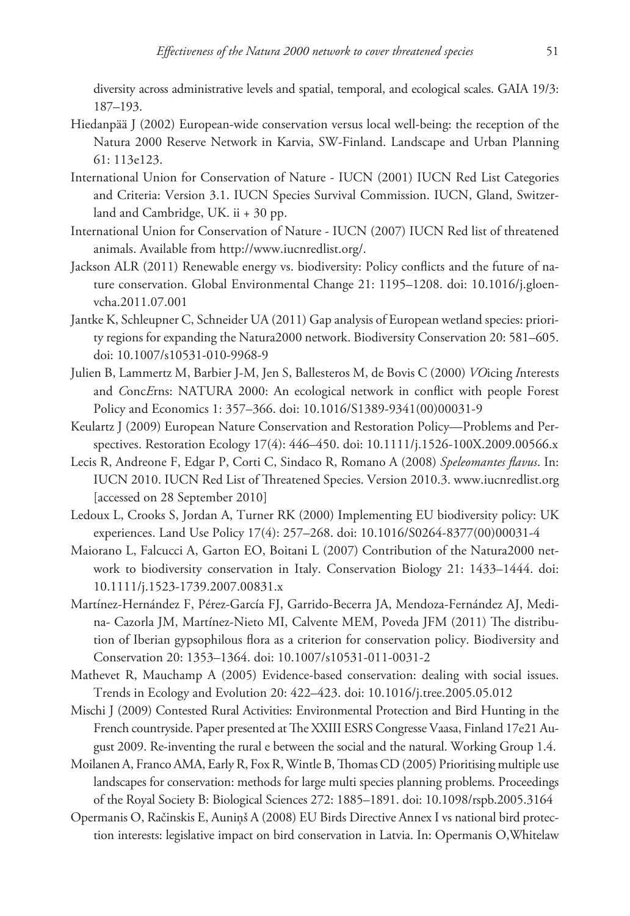diversity across administrative levels and spatial, temporal, and ecological scales. GAIA 19/3: 187–193.

- Hiedanpää J (2002) European-wide conservation versus local well-being: the reception of the Natura 2000 Reserve Network in Karvia, SW-Finland. Landscape and Urban Planning 61: 113e123.
- International Union for Conservation of Nature IUCN (2001) IUCN Red List Categories and Criteria: Version 3.1. IUCN Species Survival Commission. IUCN, Gland, Switzerland and Cambridge, UK. ii + 30 pp.
- International Union for Conservation of Nature IUCN (2007) IUCN Red list of threatened animals. Available from <http://www.iucnredlist.org>/.
- Jackson ALR (2011) Renewable energy vs. biodiversity: Policy conflicts and the future of nature conservation. Global Environmental Change 21: 1195–1208. [doi: 10.1016/j.gloen](http://dx.doi.org/10.1016/j.gloenvcha.2011.07.001)[vcha.2011.07.001](http://dx.doi.org/10.1016/j.gloenvcha.2011.07.001)
- Jantke K, Schleupner C, Schneider UA (2011) Gap analysis of European wetland species: priority regions for expanding the Natura2000 network. Biodiversity Conservation 20: 581–605. [doi: 10.1007/s10531-010-9968-9](http://dx.doi.org/10.1007/s10531-010-9968-9)
- Julien B, Lammertz M, Barbier J-M, Jen S, Ballesteros M, de Bovis C (2000) *VO*icing *I*nterests and *C*onc*E*rns: NATURA 2000: An ecological network in conflict with people Forest Policy and Economics 1: 357–366. [doi: 10.1016/S1389-9341\(00\)0003](http://dx.doi.org/10.1016/S1389-9341(00)00031-9)1-9
- Keulartz J (2009) European Nature Conservation and Restoration Policy—Problems and Perspectives. Restoration Ecology 17(4): 446–450. [doi: 10.1111/j.1526-100X.2009.00566.x](http://dx.doi.org/10.1111/j.1526-100X.2009.00566.x)
- Lecis R, Andreone F, Edgar P, Corti C, Sindaco R, Romano A (2008) *Speleomantes flavus*. In: IUCN 2010. IUCN Red List of Threatened Species. Version 2010.3.<www.iucnredlist.org> [accessed on 28 September 2010]
- Ledoux L, Crooks S, Jordan A, Turner RK (2000) Implementing EU biodiversity policy: UK experiences. Land Use Policy 17(4): 257–268. [doi: 10.1016/S0264-8377\(00\)0003](http://dx.doi.org/10.1016/S0264-8377(00)00031-4)1-4
- Maiorano L, Falcucci A, Garton EO, Boitani L (2007) Contribution of the Natura2000 network to biodiversity conservation in Italy. Conservation Biology 21: 1433–1444. [doi:](http://dx.doi.org/10.1111/j.1523-1739.2007.00831) [10.1111/j.1523-1739.2007.00831.x](http://dx.doi.org/10.1111/j.1523-1739.2007.00831)
- Martínez-Hernández F, Pérez-García FJ, Garrido-Becerra JA, Mendoza-Fernández AJ, Medina- Cazorla JM, Martínez-Nieto MI, Calvente MEM, Poveda JFM (2011) The distribution of Iberian gypsophilous flora as a criterion for conservation policy. Biodiversity and Conservation 20: 1353–1364. [doi: 10.1007/s10531-011-0031-2](http://dx.doi.org/10.1007/s10531-011-0031-2)
- Mathevet R, Mauchamp A (2005) Evidence-based conservation: dealing with social issues. Trends in Ecology and Evolution 20: 422–423. [doi: 10.1016/j.tree.2005.05.012](http://dx.doi.org/10.1016/j.tree.2005.05.012)
- Mischi J (2009) Contested Rural Activities: Environmental Protection and Bird Hunting in the French countryside. Paper presented at The XXIII ESRS Congresse Vaasa, Finland 17e21 August 2009. Re-inventing the rural e between the social and the natural. Working Group 1.4.
- Moilanen A, Franco AMA, Early R, Fox R, Wintle B, Thomas CD (2005) Prioritising multiple use landscapes for conservation: methods for large multi species planning problems. Proceedings of the Royal Society B: Biological Sciences 272: 1885–1891. [doi: 10.1098/rspb.2005.3164](http://dx.doi.org/10.1098/rspb.2005.3164)
- Opermanis O, Račinskis E, Auniņš A (2008) EU Birds Directive Annex I vs national bird protection interests: legislative impact on bird conservation in Latvia. In: Opermanis O,Whitelaw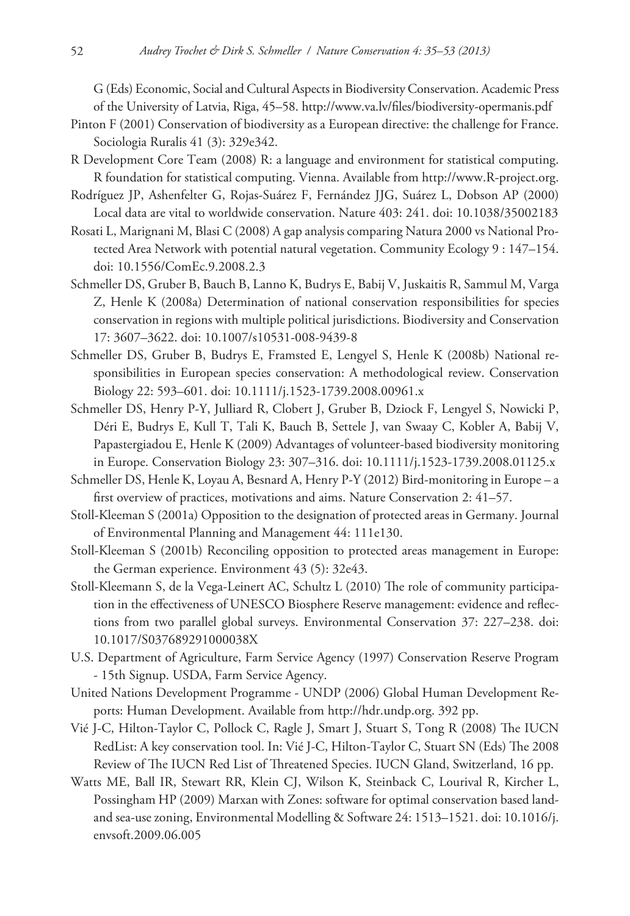G (Eds) Economic, Social and Cultural Aspects in Biodiversity Conservation. Academic Press of the University of Latvia, Riga, 45–58.<http://www.va.lv/files/biodiversity-opermanis.pdf>

- Pinton F (2001) Conservation of biodiversity as a European directive: the challenge for France. Sociologia Ruralis 41 (3): 329e342.
- R Development Core Team (2008) R: a language and environment for statistical computing. R foundation for statistical computing. Vienna. Available from [http://www.R-project.org.](http://www.R-project.org)
- Rodríguez JP, Ashenfelter G, Rojas-Suárez F, Fernández JJG, Suárez L, Dobson AP (2000) Local data are vital to worldwide conservation. Nature 403: 241. [doi: 10.1038/35002183](http://dx.doi.org/10.1038/35002183)
- Rosati L, Marignani M, Blasi C (2008) A gap analysis comparing Natura 2000 vs National Protected Area Network with potential natural vegetation. Community Ecology 9 : 147–154. [doi: 10.1556/ComEc.9.2008.2.3](http://dx.doi.org/10.1556/ComEc.9.2008.2.3)
- Schmeller DS, Gruber B, Bauch B, Lanno K, Budrys E, Babij V, Juskaitis R, Sammul M, Varga Z, Henle K (2008a) Determination of national conservation responsibilities for species conservation in regions with multiple political jurisdictions. Biodiversity and Conservation 17: 3607–3622. [doi: 10.1007/s10531-008-9439-8](http://dx.doi.org/10.1007/s10531-008-9439-8)
- Schmeller DS, Gruber B, Budrys E, Framsted E, Lengyel S, Henle K (2008b) National responsibilities in European species conservation: A methodological review. Conservation Biology 22: 593–601. [doi: 10.1111/j.1523-1739.2008.00961.x](http://dx.doi.org/10.1111/j.1523-1739.2008.00961.x)
- Schmeller DS, Henry P-Y, Julliard R, Clobert J, Gruber B, Dziock F, Lengyel S, Nowicki P, Déri E, Budrys E, Kull T, Tali K, Bauch B, Settele J, van Swaay C, Kobler A, Babij V, Papastergiadou E, Henle K (2009) Advantages of volunteer-based biodiversity monitoring in Europe. Conservation Biology 23: 307–316. [doi: 10.1111/j.1523-1739.2008.01125.x](http://dx.doi.org/10.1111/j.1523-1739.2008.01125.x)
- Schmeller DS, Henle K, Loyau A, Besnard A, Henry P-Y (2012) Bird-monitoring in Europe a first overview of practices, motivations and aims. Nature Conservation 2: 41–57.
- Stoll-Kleeman S (2001a) Opposition to the designation of protected areas in Germany. Journal of Environmental Planning and Management 44: 111e130.
- Stoll-Kleeman S (2001b) Reconciling opposition to protected areas management in Europe: the German experience. Environment 43 (5): 32e43.
- Stoll-Kleemann S, de la Vega-Leinert AC, Schultz L (2010) The role of community participation in the effectiveness of UNESCO Biosphere Reserve management: evidence and reflections from two parallel global surveys. Environmental Conservation 37: 227–238. [doi:](http://dx.doi.org/10.1017/S037689291000038X) [10.1017/S037689291000038X](http://dx.doi.org/10.1017/S037689291000038X)
- U.S. Department of Agriculture, Farm Service Agency (1997) Conservation Reserve Program - 15th Signup. USDA, Farm Service Agency.
- United Nations Development Programme UNDP (2006) Global Human Development Reports: Human Development. Available from [http://hdr.undp.org.](http://hdr.undp.org) 392 pp.
- Vié J-C, Hilton-Taylor C, Pollock C, Ragle J, Smart J, Stuart S, Tong R (2008) The IUCN RedList: A key conservation tool. In: Vié J-C, Hilton-Taylor C, Stuart SN (Eds) The 2008 Review of The IUCN Red List of Threatened Species. IUCN Gland, Switzerland, 16 pp.
- Watts ME, Ball IR, Stewart RR, Klein CJ, Wilson K, Steinback C, Lourival R, Kircher L, Possingham HP (2009) Marxan with Zones: software for optimal conservation based landand sea-use zoning, Environmental Modelling & Software 24: 1513–1521. [doi: 10.1016/j.](http://dx.doi.org/10.1016/j.envsoft.2009.06.005) [envsoft.2009.06.005](http://dx.doi.org/10.1016/j.envsoft.2009.06.005)